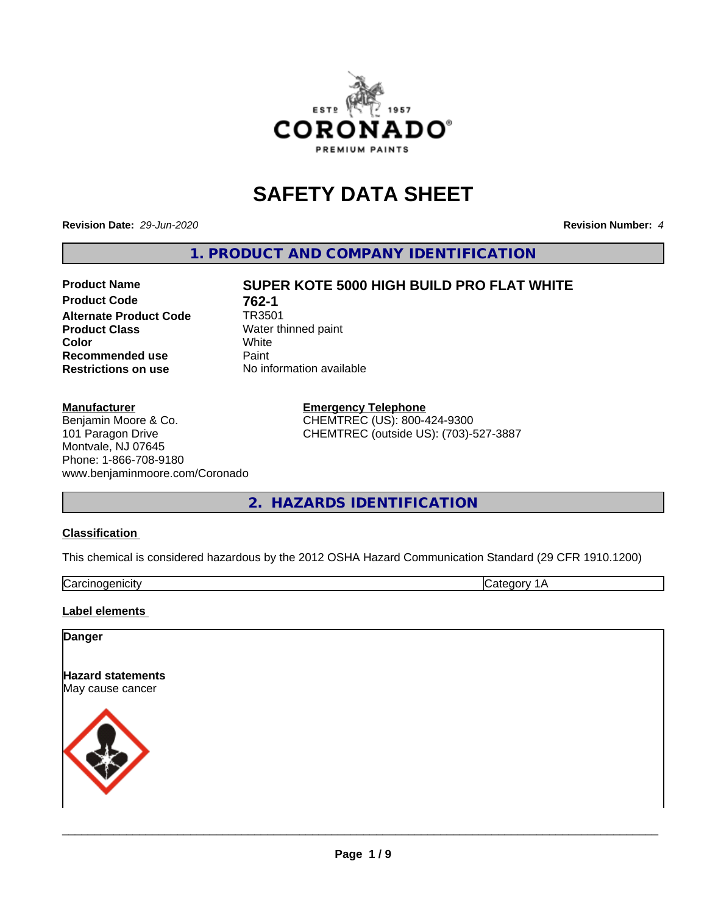

# **SAFETY DATA SHEET**

**Revision Date:** *29-Jun-2020* **Revision Number:** *4*

**1. PRODUCT AND COMPANY IDENTIFICATION**

# **Product Code 762-1**<br>Alternate Product Code 7R3501 **Alternate Product Code Product Class** Water thinned paint<br> **Color** White **Color** White White **Recommended use** Paint **Restrictions on use** No information available

#### **Manufacturer**

Benjamin Moore & Co. 101 Paragon Drive Montvale, NJ 07645 Phone: 1-866-708-9180 www.benjaminmoore.com/Coronado

# **Product Name SUPER KOTE 5000 HIGH BUILD PRO FLAT WHITE**

**Emergency Telephone** CHEMTREC (US): 800-424-9300 CHEMTREC (outside US): (703)-527-3887

# **2. HAZARDS IDENTIFICATION**

#### **Classification**

This chemical is considered hazardous by the 2012 OSHA Hazard Communication Standard (29 CFR 1910.1200)

Carcinogenicity **Category 1A** 

#### **Label elements**

#### **Danger**

**Hazard statements** May cause cancer

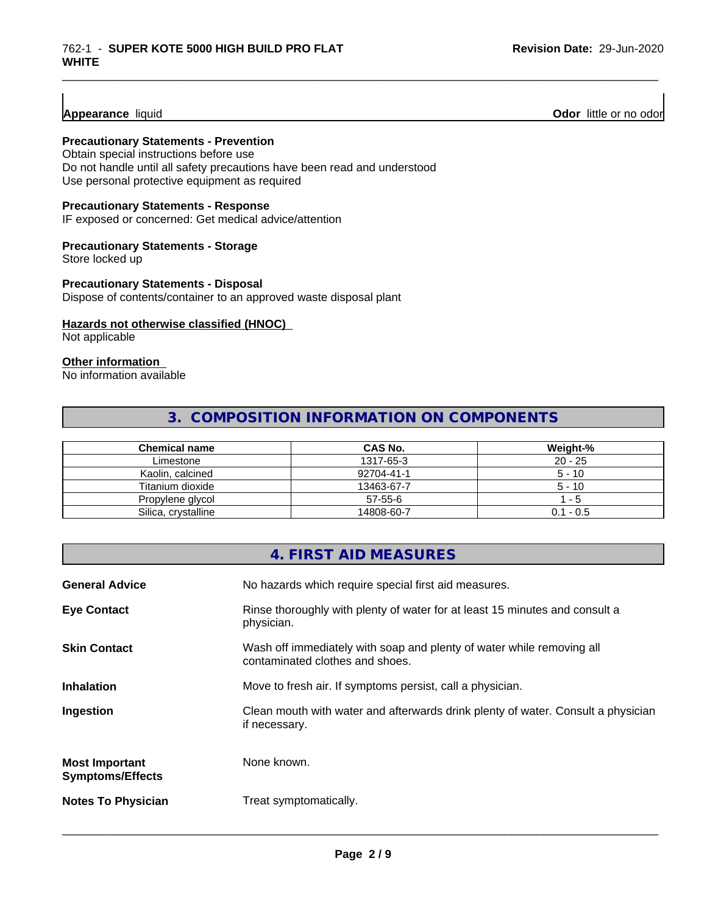**Appearance** liquid **Odor 11** Odor little or no odor

# **Precautionary Statements - Prevention**

Obtain special instructions before use Do not handle until all safety precautions have been read and understood

Use personal protective equipment as required

# **Precautionary Statements - Response**

IF exposed or concerned: Get medical advice/attention

### **Precautionary Statements - Storage**

Store locked up

# **Precautionary Statements - Disposal**

Dispose of contents/container to an approved waste disposal plant

#### **Hazards not otherwise classified (HNOC)**

Not applicable

#### **Other information**

No information available

# **3. COMPOSITION INFORMATION ON COMPONENTS**

\_\_\_\_\_\_\_\_\_\_\_\_\_\_\_\_\_\_\_\_\_\_\_\_\_\_\_\_\_\_\_\_\_\_\_\_\_\_\_\_\_\_\_\_\_\_\_\_\_\_\_\_\_\_\_\_\_\_\_\_\_\_\_\_\_\_\_\_\_\_\_\_\_\_\_\_\_\_\_\_\_\_\_\_\_\_\_\_\_\_\_\_\_

| <b>Chemical name</b> | <b>CAS No.</b> | Weight-%    |
|----------------------|----------------|-------------|
| Limestone            | 1317-65-3      | $20 - 25$   |
| Kaolin, calcined     | 92704-41-1     | $5 - 10$    |
| Titanium dioxide     | 13463-67-7     | $5 - 10$    |
| Propylene glycol     | 57-55-6        | - 5         |
| Silica, crystalline  | 14808-60-7     | $0.1 - 0.5$ |

|                                                  | 4. FIRST AID MEASURES                                                                                    |
|--------------------------------------------------|----------------------------------------------------------------------------------------------------------|
| <b>General Advice</b>                            | No hazards which require special first aid measures.                                                     |
| <b>Eye Contact</b>                               | Rinse thoroughly with plenty of water for at least 15 minutes and consult a<br>physician.                |
| <b>Skin Contact</b>                              | Wash off immediately with soap and plenty of water while removing all<br>contaminated clothes and shoes. |
| <b>Inhalation</b>                                | Move to fresh air. If symptoms persist, call a physician.                                                |
| Ingestion                                        | Clean mouth with water and afterwards drink plenty of water. Consult a physician<br>if necessary.        |
| <b>Most Important</b><br><b>Symptoms/Effects</b> | None known.                                                                                              |
| <b>Notes To Physician</b>                        | Treat symptomatically.                                                                                   |
|                                                  |                                                                                                          |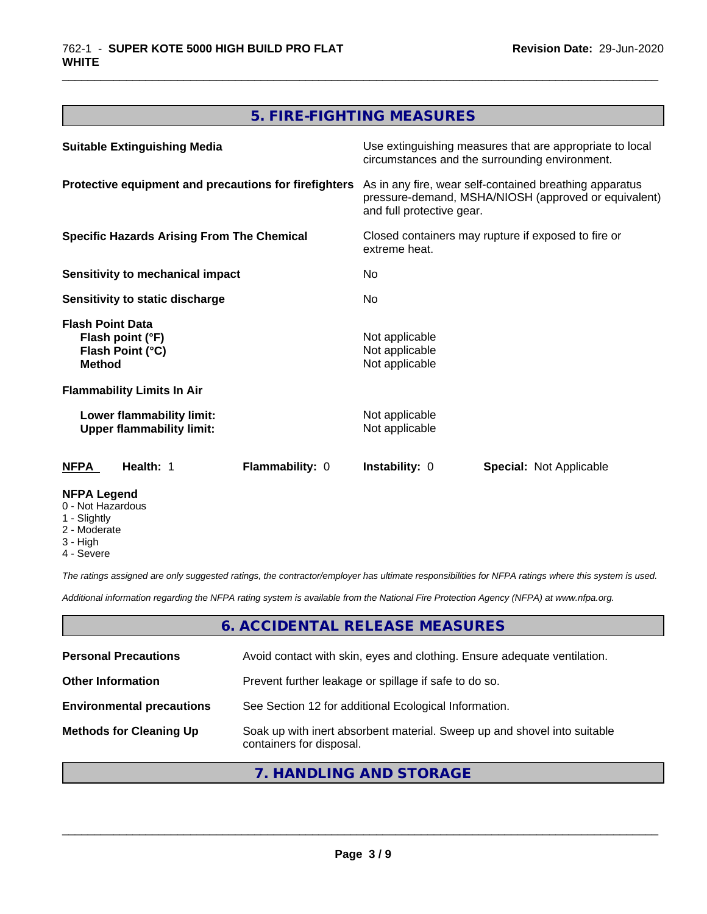# **5. FIRE-FIGHTING MEASURES**

\_\_\_\_\_\_\_\_\_\_\_\_\_\_\_\_\_\_\_\_\_\_\_\_\_\_\_\_\_\_\_\_\_\_\_\_\_\_\_\_\_\_\_\_\_\_\_\_\_\_\_\_\_\_\_\_\_\_\_\_\_\_\_\_\_\_\_\_\_\_\_\_\_\_\_\_\_\_\_\_\_\_\_\_\_\_\_\_\_\_\_\_\_

| <b>Suitable Extinguishing Media</b>                                              | Use extinguishing measures that are appropriate to local<br>circumstances and the surrounding environment.                                   |  |
|----------------------------------------------------------------------------------|----------------------------------------------------------------------------------------------------------------------------------------------|--|
| Protective equipment and precautions for firefighters                            | As in any fire, wear self-contained breathing apparatus<br>pressure-demand, MSHA/NIOSH (approved or equivalent)<br>and full protective gear. |  |
| <b>Specific Hazards Arising From The Chemical</b>                                | Closed containers may rupture if exposed to fire or<br>extreme heat.                                                                         |  |
| <b>Sensitivity to mechanical impact</b>                                          | No.                                                                                                                                          |  |
| Sensitivity to static discharge                                                  | No.                                                                                                                                          |  |
| <b>Flash Point Data</b><br>Flash point (°F)<br>Flash Point (°C)<br><b>Method</b> | Not applicable<br>Not applicable<br>Not applicable                                                                                           |  |
| <b>Flammability Limits In Air</b>                                                |                                                                                                                                              |  |
| Lower flammability limit:<br><b>Upper flammability limit:</b>                    | Not applicable<br>Not applicable                                                                                                             |  |
| Flammability: 0<br>Health: 1<br>NFPA                                             | <b>Instability: 0</b><br><b>Special: Not Applicable</b>                                                                                      |  |
| <b>NFPA Legend</b><br>0 - Not Hazardous<br>1 - Slightly                          |                                                                                                                                              |  |

- 2 Moderate
- 3 High
- 4 Severe

*The ratings assigned are only suggested ratings, the contractor/employer has ultimate responsibilities for NFPA ratings where this system is used.*

*Additional information regarding the NFPA rating system is available from the National Fire Protection Agency (NFPA) at www.nfpa.org.*

# **6. ACCIDENTAL RELEASE MEASURES**

| <b>Personal Precautions</b>      | Avoid contact with skin, eyes and clothing. Ensure adequate ventilation.                             |
|----------------------------------|------------------------------------------------------------------------------------------------------|
| <b>Other Information</b>         | Prevent further leakage or spillage if safe to do so.                                                |
| <b>Environmental precautions</b> | See Section 12 for additional Ecological Information.                                                |
| <b>Methods for Cleaning Up</b>   | Soak up with inert absorbent material. Sweep up and shovel into suitable<br>containers for disposal. |

# **7. HANDLING AND STORAGE**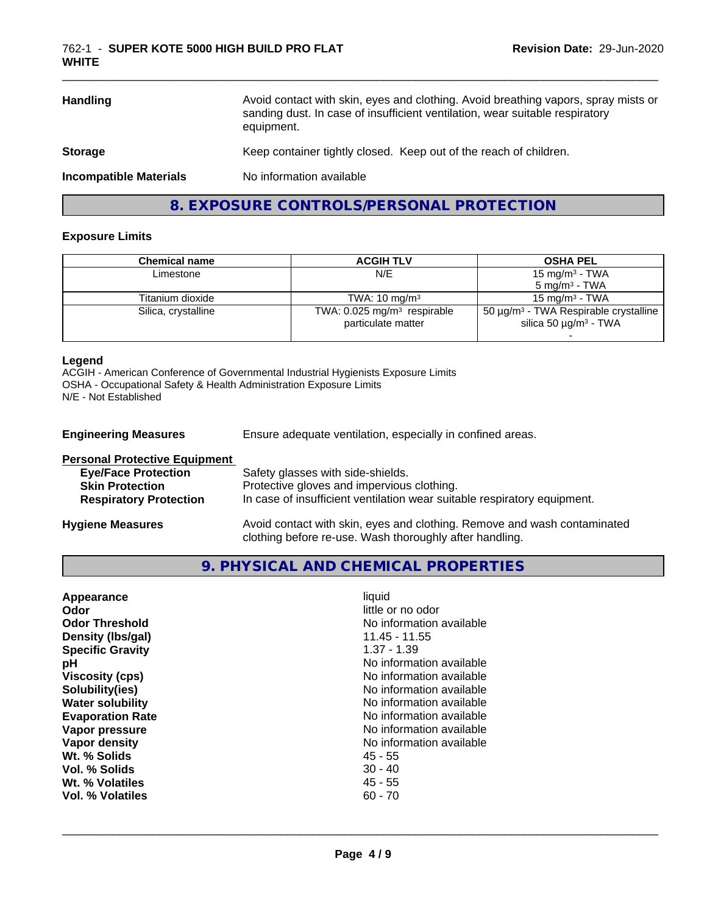| <b>Handling</b>               | Avoid contact with skin, eyes and clothing. Avoid breathing vapors, spray mists or<br>sanding dust. In case of insufficient ventilation, wear suitable respiratory<br>equipment. |
|-------------------------------|----------------------------------------------------------------------------------------------------------------------------------------------------------------------------------|
| <b>Storage</b>                | Keep container tightly closed. Keep out of the reach of children.                                                                                                                |
| <b>Incompatible Materials</b> | No information available                                                                                                                                                         |

**8. EXPOSURE CONTROLS/PERSONAL PROTECTION**

### **Exposure Limits**

| <b>ACGIH TLV</b>                                                | <b>OSHA PEL</b>                                                                                  |
|-----------------------------------------------------------------|--------------------------------------------------------------------------------------------------|
| N/E                                                             | 15 mg/m <sup>3</sup> - TWA                                                                       |
|                                                                 | $5 \text{ ma/m}^3$ - TWA                                                                         |
| TWA: $10 \text{ ma/m}^3$                                        | $15 \text{ ma/m}^3$ - TWA                                                                        |
| TWA: $0.025$ mg/m <sup>3</sup> respirable<br>particulate matter | 50 $\mu$ g/m <sup>3</sup> - TWA Respirable crystalline<br>silica 50 $\mu$ g/m <sup>3</sup> - TWA |
|                                                                 |                                                                                                  |

#### **Legend**

ACGIH - American Conference of Governmental Industrial Hygienists Exposure Limits OSHA - Occupational Safety & Health Administration Exposure Limits N/E - Not Established

| <b>Engineering Measures</b>                                                                                                   | Ensure adequate ventilation, especially in confined areas.                                                                                                  |
|-------------------------------------------------------------------------------------------------------------------------------|-------------------------------------------------------------------------------------------------------------------------------------------------------------|
| <b>Personal Protective Equipment</b><br><b>Eye/Face Protection</b><br><b>Skin Protection</b><br><b>Respiratory Protection</b> | Safety glasses with side-shields.<br>Protective gloves and impervious clothing.<br>In case of insufficient ventilation wear suitable respiratory equipment. |
| <b>Hygiene Measures</b>                                                                                                       | Avoid contact with skin, eyes and clothing. Remove and wash contaminated                                                                                    |

clothing before re-use. Wash thoroughly after handling.

# **9. PHYSICAL AND CHEMICAL PROPERTIES**

| Appearance<br>Odor<br><b>Odor Threshold</b><br>Density (Ibs/gal)<br><b>Specific Gravity</b><br>рH<br><b>Viscosity (cps)</b><br>Solubility(ies) | liquid<br>little or no odor<br>No information available<br>$11.45 - 11.55$<br>$1.37 - 1.39$<br>No information available<br>No information available<br>No information available |
|------------------------------------------------------------------------------------------------------------------------------------------------|---------------------------------------------------------------------------------------------------------------------------------------------------------------------------------|
|                                                                                                                                                |                                                                                                                                                                                 |
|                                                                                                                                                |                                                                                                                                                                                 |
|                                                                                                                                                |                                                                                                                                                                                 |
|                                                                                                                                                |                                                                                                                                                                                 |
| <b>Water solubility</b>                                                                                                                        | No information available                                                                                                                                                        |
| <b>Evaporation Rate</b>                                                                                                                        | No information available                                                                                                                                                        |
| Vapor pressure                                                                                                                                 | No information available                                                                                                                                                        |
| Vapor density                                                                                                                                  | No information available                                                                                                                                                        |
| Wt. % Solids                                                                                                                                   | 45 - 55                                                                                                                                                                         |
| Vol. % Solids                                                                                                                                  | $30 - 40$                                                                                                                                                                       |
| Wt. % Volatiles                                                                                                                                | $45 - 55$                                                                                                                                                                       |
| Vol. % Volatiles                                                                                                                               | $60 - 70$                                                                                                                                                                       |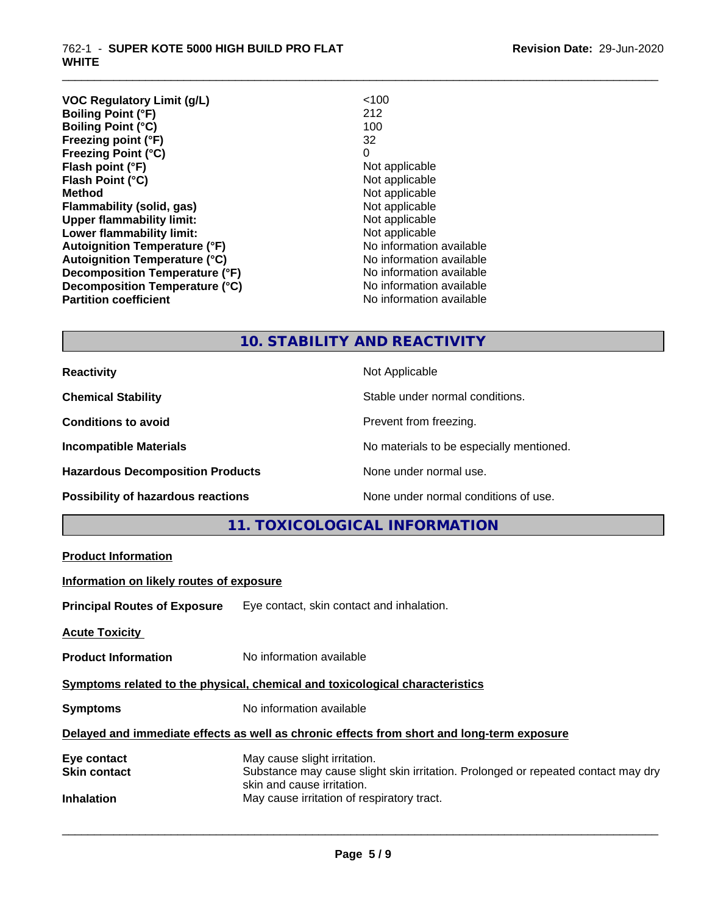| <b>VOC Regulatory Limit (g/L)</b>    | < 100                    |
|--------------------------------------|--------------------------|
| <b>Boiling Point (°F)</b>            | 212                      |
| <b>Boiling Point (°C)</b>            | 100                      |
| Freezing point (°F)                  | 32                       |
| <b>Freezing Point (°C)</b>           | 0                        |
| Flash point (°F)                     | Not applicable           |
| Flash Point (°C)                     | Not applicable           |
| <b>Method</b>                        | Not applicable           |
| Flammability (solid, gas)            | Not applicable           |
| <b>Upper flammability limit:</b>     | Not applicable           |
| Lower flammability limit:            | Not applicable           |
| <b>Autoignition Temperature (°F)</b> | No information available |
| <b>Autoignition Temperature (°C)</b> | No information available |
| Decomposition Temperature (°F)       | No information available |
| Decomposition Temperature (°C)       | No information available |
| <b>Partition coefficient</b>         | No information available |
|                                      |                          |

# **10. STABILITY AND REACTIVITY**

\_\_\_\_\_\_\_\_\_\_\_\_\_\_\_\_\_\_\_\_\_\_\_\_\_\_\_\_\_\_\_\_\_\_\_\_\_\_\_\_\_\_\_\_\_\_\_\_\_\_\_\_\_\_\_\_\_\_\_\_\_\_\_\_\_\_\_\_\_\_\_\_\_\_\_\_\_\_\_\_\_\_\_\_\_\_\_\_\_\_\_\_\_

| <b>Reactivity</b>                       | Not Applicable                           |
|-----------------------------------------|------------------------------------------|
| <b>Chemical Stability</b>               | Stable under normal conditions.          |
| <b>Conditions to avoid</b>              | Prevent from freezing.                   |
| <b>Incompatible Materials</b>           | No materials to be especially mentioned. |
| <b>Hazardous Decomposition Products</b> | None under normal use.                   |
| Possibility of hazardous reactions      | None under normal conditions of use.     |

# **11. TOXICOLOGICAL INFORMATION**

| <b>Product Information</b>                                                                 |                                                                                                                                                 |  |
|--------------------------------------------------------------------------------------------|-------------------------------------------------------------------------------------------------------------------------------------------------|--|
| Information on likely routes of exposure                                                   |                                                                                                                                                 |  |
|                                                                                            | <b>Principal Routes of Exposure</b> Eye contact, skin contact and inhalation.                                                                   |  |
| <b>Acute Toxicity</b>                                                                      |                                                                                                                                                 |  |
| <b>Product Information</b>                                                                 | No information available                                                                                                                        |  |
| Symptoms related to the physical, chemical and toxicological characteristics               |                                                                                                                                                 |  |
| <b>Symptoms</b>                                                                            | No information available                                                                                                                        |  |
| Delayed and immediate effects as well as chronic effects from short and long-term exposure |                                                                                                                                                 |  |
| Eye contact<br><b>Skin contact</b>                                                         | May cause slight irritation.<br>Substance may cause slight skin irritation. Prolonged or repeated contact may dry<br>skin and cause irritation. |  |
| <b>Inhalation</b>                                                                          | May cause irritation of respiratory tract.                                                                                                      |  |
|                                                                                            |                                                                                                                                                 |  |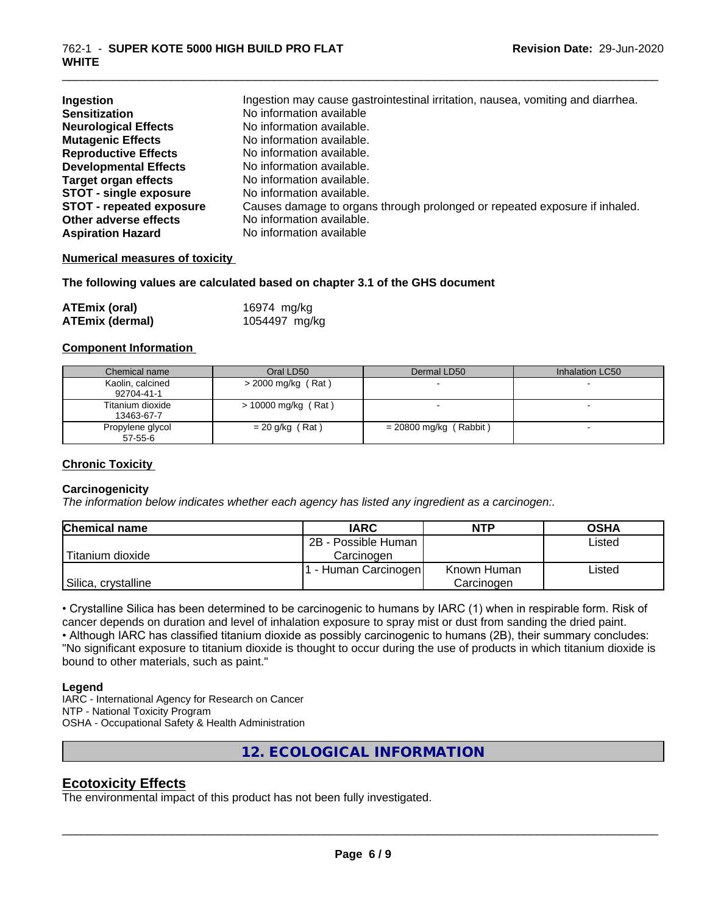| Ingestion<br><b>Sensitization</b> | Ingestion may cause gastrointestinal irritation, nausea, vomiting and diarrhea.<br>No information available |
|-----------------------------------|-------------------------------------------------------------------------------------------------------------|
| <b>Neurological Effects</b>       | No information available.                                                                                   |
| <b>Mutagenic Effects</b>          | No information available.                                                                                   |
| <b>Reproductive Effects</b>       | No information available.                                                                                   |
| <b>Developmental Effects</b>      | No information available.                                                                                   |
| <b>Target organ effects</b>       | No information available.                                                                                   |
| <b>STOT - single exposure</b>     | No information available.                                                                                   |
| <b>STOT - repeated exposure</b>   | Causes damage to organs through prolonged or repeated exposure if inhaled.                                  |
| Other adverse effects             | No information available.                                                                                   |
| <b>Aspiration Hazard</b>          | No information available                                                                                    |

\_\_\_\_\_\_\_\_\_\_\_\_\_\_\_\_\_\_\_\_\_\_\_\_\_\_\_\_\_\_\_\_\_\_\_\_\_\_\_\_\_\_\_\_\_\_\_\_\_\_\_\_\_\_\_\_\_\_\_\_\_\_\_\_\_\_\_\_\_\_\_\_\_\_\_\_\_\_\_\_\_\_\_\_\_\_\_\_\_\_\_\_\_

#### **Numerical measures of toxicity**

#### **The following values are calculated based on chapter 3.1 of the GHS document**

| <b>ATEmix (oral)</b>   | 16974 mg/kg   |
|------------------------|---------------|
| <b>ATEmix (dermal)</b> | 1054497 mg/kg |

#### **Component Information**

| Chemical name                  | Oral LD50            | Dermal LD50            | Inhalation LC50 |
|--------------------------------|----------------------|------------------------|-----------------|
| Kaolin, calcined<br>92704-41-1 | $>$ 2000 mg/kg (Rat) |                        |                 |
| Titanium dioxide<br>13463-67-7 | > 10000 mg/kg (Rat)  |                        |                 |
| Propylene glycol<br>57-55-6    | $= 20$ g/kg (Rat)    | = 20800 mg/kg (Rabbit) |                 |

#### **Chronic Toxicity**

#### **Carcinogenicity**

*The information below indicateswhether each agency has listed any ingredient as a carcinogen:.*

| <b>Chemical name</b> | <b>IARC</b>         | <b>NTP</b>  | <b>OSHA</b> |
|----------------------|---------------------|-------------|-------------|
|                      | 2B - Possible Human |             | Listed      |
| Titanium dioxide     | Carcinoɑen          |             |             |
|                      | - Human Carcinogen  | Known Human | Listed      |
| Silica, crystalline  |                     | Carcinogen  |             |

• Crystalline Silica has been determined to be carcinogenic to humans by IARC (1) when in respirable form. Risk of cancer depends on duration and level of inhalation exposure to spray mist or dust from sanding the dried paint.

• Although IARC has classified titanium dioxide as possibly carcinogenic to humans (2B), their summary concludes: "No significant exposure to titanium dioxide is thought to occur during the use of products in which titanium dioxide is bound to other materials, such as paint."

#### **Legend**

IARC - International Agency for Research on Cancer NTP - National Toxicity Program OSHA - Occupational Safety & Health Administration

**12. ECOLOGICAL INFORMATION**

### **Ecotoxicity Effects**

The environmental impact of this product has not been fully investigated.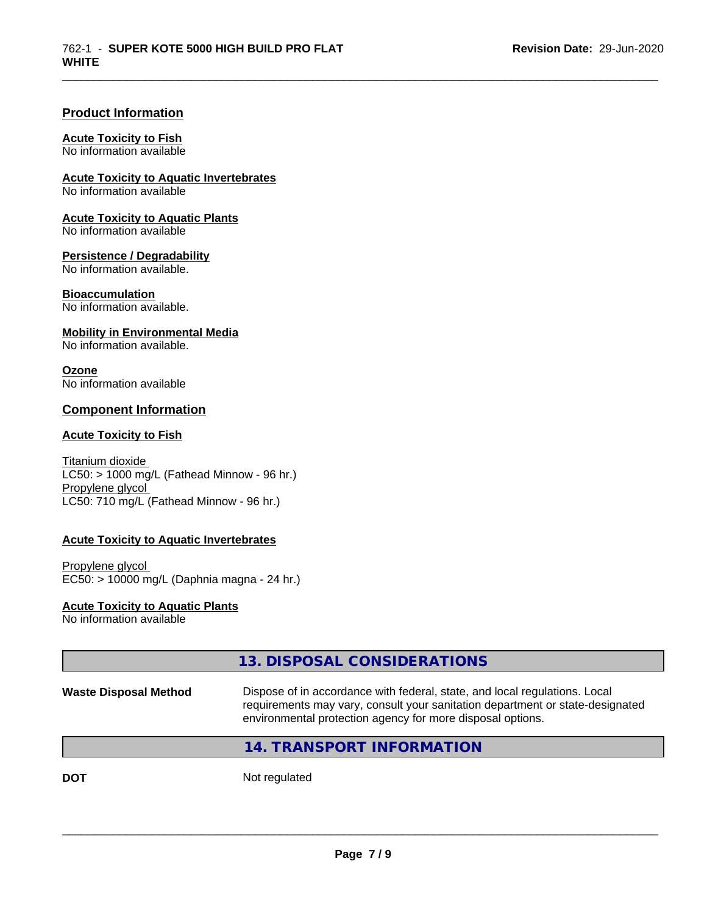#### **Product Information**

#### **Acute Toxicity to Fish**

No information available

**Acute Toxicity to Aquatic Invertebrates**

No information available

**Acute Toxicity to Aquatic Plants** No information available

# **Persistence / Degradability**

No information available.

#### **Bioaccumulation**

No information available.

#### **Mobility in Environmental Media**

No information available.

#### **Ozone**

No information available

#### **Component Information**

#### **Acute Toxicity to Fish**

Titanium dioxide  $LC50:$  > 1000 mg/L (Fathead Minnow - 96 hr.) Propylene glycol LC50: 710 mg/L (Fathead Minnow - 96 hr.)

#### **Acute Toxicity to Aquatic Invertebrates**

Propylene glycol EC50: > 10000 mg/L (Daphnia magna - 24 hr.)

#### **Acute Toxicity to Aquatic Plants**

No information available

# **13. DISPOSAL CONSIDERATIONS**

**Waste Disposal Method** Dispose of in accordance with federal, state, and local regulations. Local requirements may vary, consult your sanitation department or state-designated environmental protection agency for more disposal options.

 $\overline{\phantom{a}}$  ,  $\overline{\phantom{a}}$  ,  $\overline{\phantom{a}}$  ,  $\overline{\phantom{a}}$  ,  $\overline{\phantom{a}}$  ,  $\overline{\phantom{a}}$  ,  $\overline{\phantom{a}}$  ,  $\overline{\phantom{a}}$  ,  $\overline{\phantom{a}}$  ,  $\overline{\phantom{a}}$  ,  $\overline{\phantom{a}}$  ,  $\overline{\phantom{a}}$  ,  $\overline{\phantom{a}}$  ,  $\overline{\phantom{a}}$  ,  $\overline{\phantom{a}}$  ,  $\overline{\phantom{a}}$ 

\_\_\_\_\_\_\_\_\_\_\_\_\_\_\_\_\_\_\_\_\_\_\_\_\_\_\_\_\_\_\_\_\_\_\_\_\_\_\_\_\_\_\_\_\_\_\_\_\_\_\_\_\_\_\_\_\_\_\_\_\_\_\_\_\_\_\_\_\_\_\_\_\_\_\_\_\_\_\_\_\_\_\_\_\_\_\_\_\_\_\_\_\_

# **14. TRANSPORT INFORMATION**

**DOT** Not regulated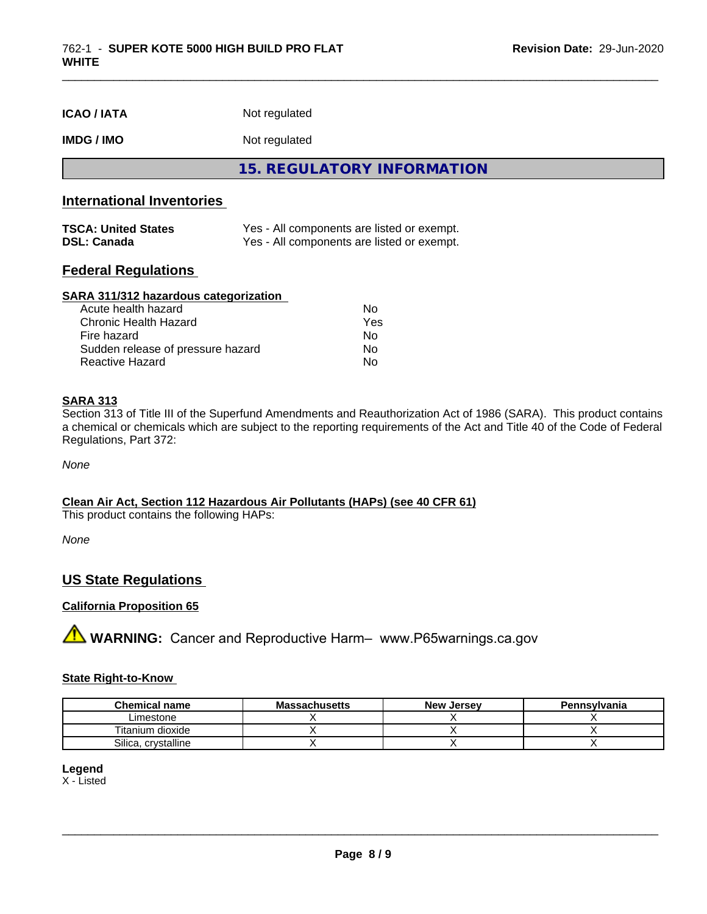**IMDG / IMO** Not regulated

**15. REGULATORY INFORMATION**

\_\_\_\_\_\_\_\_\_\_\_\_\_\_\_\_\_\_\_\_\_\_\_\_\_\_\_\_\_\_\_\_\_\_\_\_\_\_\_\_\_\_\_\_\_\_\_\_\_\_\_\_\_\_\_\_\_\_\_\_\_\_\_\_\_\_\_\_\_\_\_\_\_\_\_\_\_\_\_\_\_\_\_\_\_\_\_\_\_\_\_\_\_

# **International Inventories**

| <b>TSCA: United States</b> | Yes - All components are listed or exempt. |
|----------------------------|--------------------------------------------|
| <b>DSL: Canada</b>         | Yes - All components are listed or exempt. |

### **Federal Regulations**

#### **SARA 311/312 hazardous categorization**

| Acute health hazard               | Nο  |
|-----------------------------------|-----|
| Chronic Health Hazard             | Yes |
| Fire hazard                       | No. |
| Sudden release of pressure hazard | Nο  |
| Reactive Hazard                   | Nο  |

#### **SARA 313**

Section 313 of Title III of the Superfund Amendments and Reauthorization Act of 1986 (SARA). This product contains a chemical or chemicals which are subject to the reporting requirements of the Act and Title 40 of the Code of Federal Regulations, Part 372:

*None*

#### **Clean Air Act,Section 112 Hazardous Air Pollutants (HAPs) (see 40 CFR 61)**

This product contains the following HAPs:

*None*

# **US State Regulations**

#### **California Proposition 65**

**A** WARNING: Cancer and Reproductive Harm– www.P65warnings.ca.gov

#### **State Right-to-Know**

| <b>Chemical name</b>   | <b>Massachusetts</b> | <b>New Jersey</b> | Pennsylvania |
|------------------------|----------------------|-------------------|--------------|
| ∟imestone              |                      |                   |              |
| Titanium dioxide       |                      |                   |              |
| Silica.<br>crystalline |                      |                   |              |

#### **Legend**

X - Listed